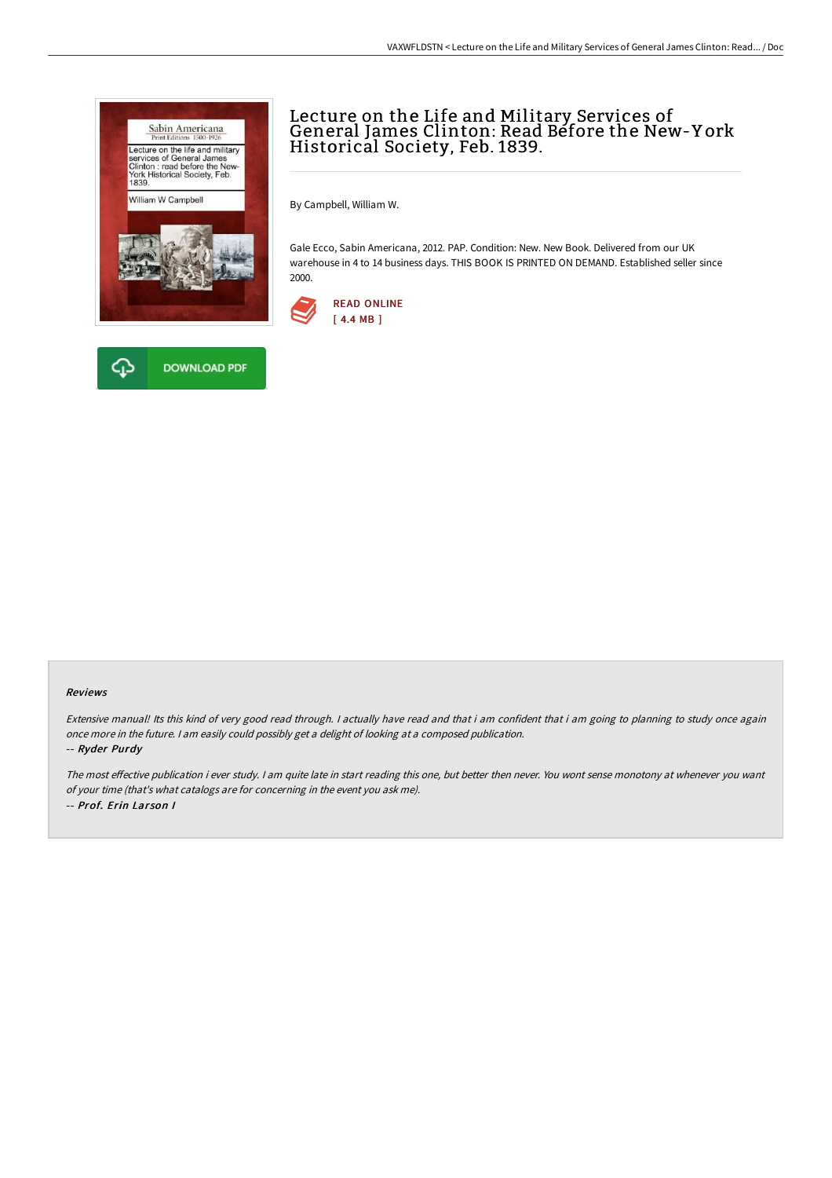



# Lecture on the Life and Military Services of General James Clinton: Read Before the New-Y ork Historical Society, Feb. 1839.

By Campbell, William W.

Gale Ecco, Sabin Americana, 2012. PAP. Condition: New. New Book. Delivered from our UK warehouse in 4 to 14 business days. THIS BOOK IS PRINTED ON DEMAND. Established seller since 2000.



### Reviews

Extensive manual! Its this kind of very good read through. I actually have read and that i am confident that i am going to planning to study once again once more in the future. <sup>I</sup> am easily could possibly get <sup>a</sup> delight of looking at <sup>a</sup> composed publication.

#### -- Ryder Purdy

The most effective publication i ever study. I am quite late in start reading this one, but better then never. You wont sense monotony at whenever you want of your time (that's what catalogs are for concerning in the event you ask me). -- Prof. Erin Larson I